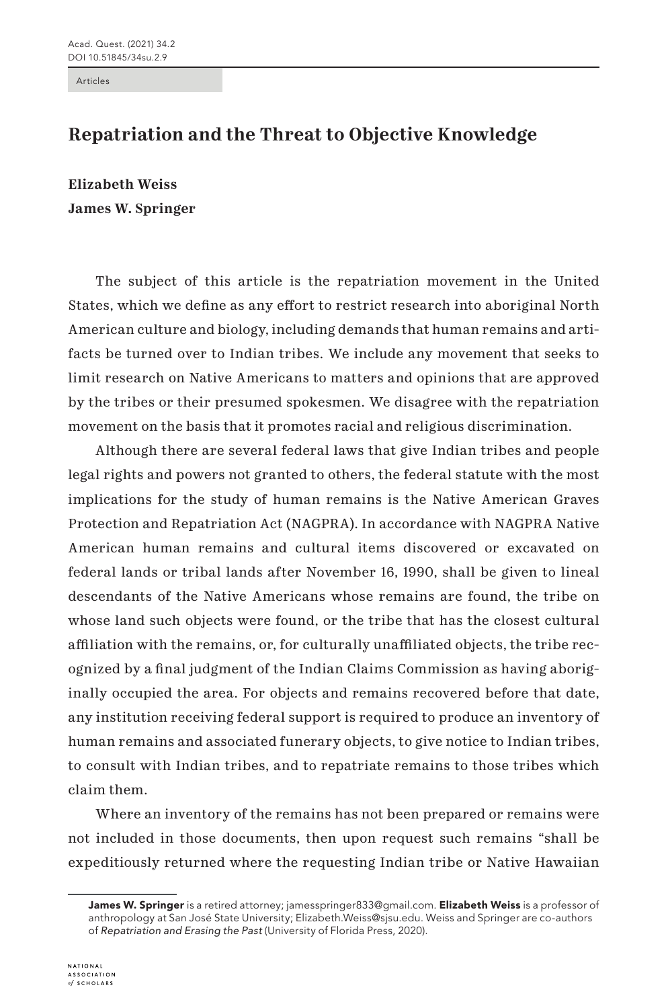Articles

## **Repatriation and the Threat to Objective Knowledge**

**Elizabeth Weiss James W. Springer**

The subject of this article is the repatriation movement in the United States, which we define as any effort to restrict research into aboriginal North American culture and biology, including demands that human remains and artifacts be turned over to Indian tribes. We include any movement that seeks to limit research on Native Americans to matters and opinions that are approved by the tribes or their presumed spokesmen. We disagree with the repatriation movement on the basis that it promotes racial and religious discrimination.

Although there are several federal laws that give Indian tribes and people legal rights and powers not granted to others, the federal statute with the most implications for the study of human remains is the Native American Graves Protection and Repatriation Act (NAGPRA). In accordance with NAGPRA Native American human remains and cultural items discovered or excavated on federal lands or tribal lands after November 16, 1990, shall be given to lineal descendants of the Native Americans whose remains are found, the tribe on whose land such objects were found, or the tribe that has the closest cultural affiliation with the remains, or, for culturally unaffiliated objects, the tribe recognized by a final judgment of the Indian Claims Commission as having aboriginally occupied the area. For objects and remains recovered before that date, any institution receiving federal support is required to produce an inventory of human remains and associated funerary objects, to give notice to Indian tribes, to consult with Indian tribes, and to repatriate remains to those tribes which claim them.

Where an inventory of the remains has not been prepared or remains were not included in those documents, then upon request such remains "shall be expeditiously returned where the requesting Indian tribe or Native Hawaiian

James W. Springer is a retired attorney; jamesspringer833@gmail.com. Elizabeth Weiss is a professor of anthropology at San José State University; Elizabeth.Weiss@sjsu.edu. Weiss and Springer are co-authors of *Repatriation and Erasing the Past* (University of Florida Press, 2020).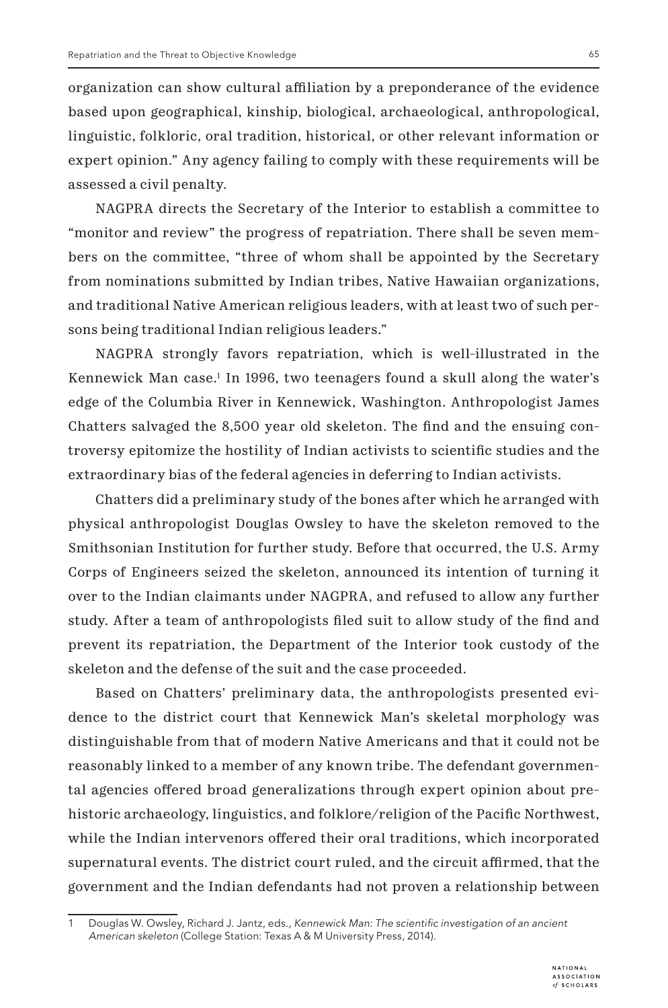organization can show cultural affiliation by a preponderance of the evidence based upon geographical, kinship, biological, archaeological, anthropological, linguistic, folkloric, oral tradition, historical, or other relevant information or expert opinion." Any agency failing to comply with these requirements will be assessed a civil penalty.

NAGPRA directs the Secretary of the Interior to establish a committee to "monitor and review" the progress of repatriation. There shall be seven members on the committee, "three of whom shall be appointed by the Secretary from nominations submitted by Indian tribes, Native Hawaiian organizations, and traditional Native American religious leaders, with at least two of such persons being traditional Indian religious leaders."

NAGPRA strongly favors repatriation, which is well-illustrated in the Kennewick Man case.1 In 1996, two teenagers found a skull along the water's edge of the Columbia River in Kennewick, Washington. Anthropologist James Chatters salvaged the 8,500 year old skeleton. The find and the ensuing controversy epitomize the hostility of Indian activists to scientific studies and the extraordinary bias of the federal agencies in deferring to Indian activists.

Chatters did a preliminary study of the bones after which he arranged with physical anthropologist Douglas Owsley to have the skeleton removed to the Smithsonian Institution for further study. Before that occurred, the U.S. Army Corps of Engineers seized the skeleton, announced its intention of turning it over to the Indian claimants under NAGPRA, and refused to allow any further study. After a team of anthropologists filed suit to allow study of the find and prevent its repatriation, the Department of the Interior took custody of the skeleton and the defense of the suit and the case proceeded.

Based on Chatters' preliminary data, the anthropologists presented evidence to the district court that Kennewick Man's skeletal morphology was distinguishable from that of modern Native Americans and that it could not be reasonably linked to a member of any known tribe. The defendant governmental agencies offered broad generalizations through expert opinion about prehistoric archaeology, linguistics, and folklore/religion of the Pacific Northwest, while the Indian intervenors offered their oral traditions, which incorporated supernatural events. The district court ruled, and the circuit affirmed, that the government and the Indian defendants had not proven a relationship between

Douglas W. Owsley, Richard J. Jantz, eds., Kennewick Man: The scientific investigation of an ancient American skeleton (College Station: Texas A & M University Press, 2014).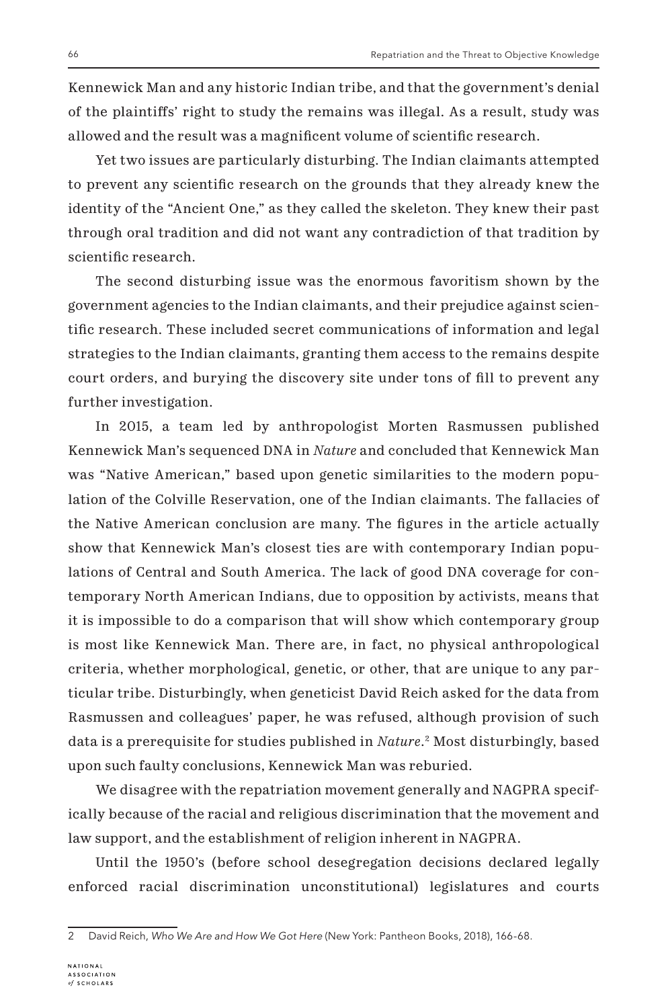Kennewick Man and any historic Indian tribe, and that the government's denial of the plaintiffs' right to study the remains was illegal. As a result, study was allowed and the result was a magnificent volume of scientific research.

Yet two issues are particularly disturbing. The Indian claimants attempted to prevent any scientific research on the grounds that they already knew the identity of the "Ancient One," as they called the skeleton. They knew their past through oral tradition and did not want any contradiction of that tradition by scientific research.

The second disturbing issue was the enormous favoritism shown by the government agencies to the Indian claimants, and their prejudice against scientific research. These included secret communications of information and legal strategies to the Indian claimants, granting them access to the remains despite court orders, and burying the discovery site under tons of fill to prevent any further investigation.

In 2015, a team led by anthropologist Morten Rasmussen published Kennewick Man's sequenced DNA in *Nature* and concluded that Kennewick Man was "Native American," based upon genetic similarities to the modern population of the Colville Reservation, one of the Indian claimants. The fallacies of the Native American conclusion are many. The figures in the article actually show that Kennewick Man's closest ties are with contemporary Indian populations of Central and South America. The lack of good DNA coverage for contemporary North American Indians, due to opposition by activists, means that it is impossible to do a comparison that will show which contemporary group is most like Kennewick Man. There are, in fact, no physical anthropological criteria, whether morphological, genetic, or other, that are unique to any particular tribe. Disturbingly, when geneticist David Reich asked for the data from Rasmussen and colleagues' paper, he was refused, although provision of such data is a prerequisite for studies published in *Nature*. 2 Most disturbingly, based upon such faulty conclusions, Kennewick Man was reburied.

We disagree with the repatriation movement generally and NAGPRA specifically because of the racial and religious discrimination that the movement and law support, and the establishment of religion inherent in NAGPRA.

Until the 1950's (before school desegregation decisions declared legally enforced racial discrimination unconstitutional) legislatures and courts

<sup>2</sup> David Reich, Who We Are and How We Got Here (New York: Pantheon Books, 2018), 166-68.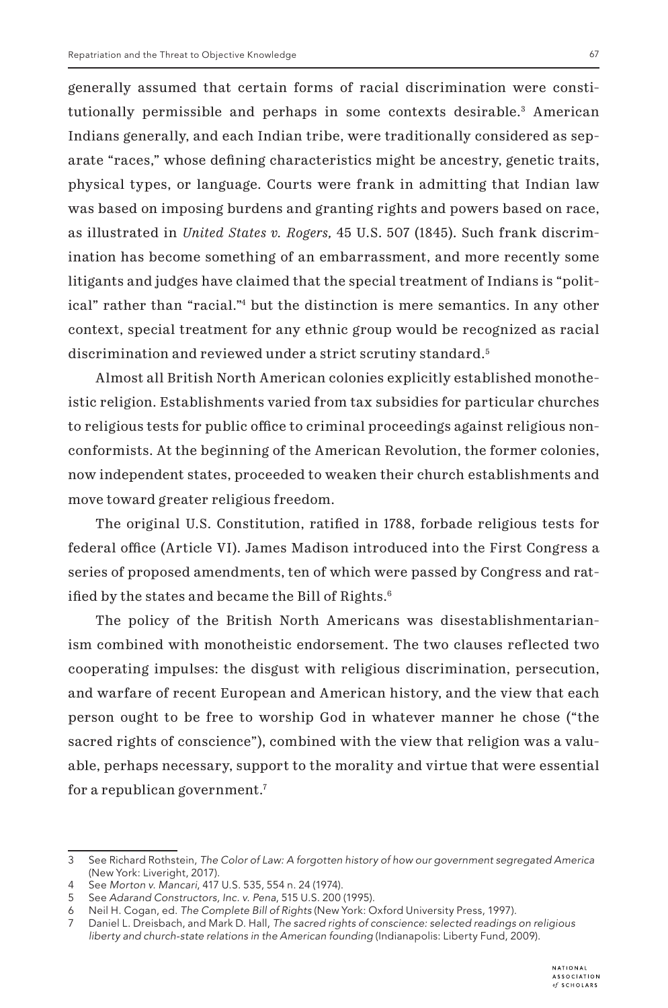generally assumed that certain forms of racial discrimination were constitutionally permissible and perhaps in some contexts desirable.<sup>3</sup> American Indians generally, and each Indian tribe, were traditionally considered as separate "races," whose defining characteristics might be ancestry, genetic traits, physical types, or language. Courts were frank in admitting that Indian law was based on imposing burdens and granting rights and powers based on race, as illustrated in *United States v. Rogers,* 45 U.S. 507 (1845). Such frank discrimination has become something of an embarrassment, and more recently some litigants and judges have claimed that the special treatment of Indians is "political" rather than "racial."4 but the distinction is mere semantics. In any other context, special treatment for any ethnic group would be recognized as racial discrimination and reviewed under a strict scrutiny standard.<sup>5</sup>

Almost all British North American colonies explicitly established monotheistic religion. Establishments varied from tax subsidies for particular churches to religious tests for public office to criminal proceedings against religious nonconformists. At the beginning of the American Revolution, the former colonies, now independent states, proceeded to weaken their church establishments and move toward greater religious freedom.

The original U.S. Constitution, ratified in 1788, forbade religious tests for federal office (Article VI). James Madison introduced into the First Congress a series of proposed amendments, ten of which were passed by Congress and ratified by the states and became the Bill of Rights.<sup>6</sup>

The policy of the British North Americans was disestablishmentarianism combined with monotheistic endorsement. The two clauses reflected two cooperating impulses: the disgust with religious discrimination, persecution, and warfare of recent European and American history, and the view that each person ought to be free to worship God in whatever manner he chose ("the sacred rights of conscience"), combined with the view that religion was a valuable, perhaps necessary, support to the morality and virtue that were essential for a republican government.7

<sup>3</sup> See Richard Rothstein, The Color of Law: A forgotten history of how our government segregated America (New York: Liveright, 2017).

<sup>4</sup> See Morton v. Mancari, 417 U.S. 535, 554 n. 24 (1974).

<sup>5</sup> See Adarand Constructors, Inc. v. Pena, 515 U.S. 200 (1995).

<sup>6</sup> Neil H. Cogan, ed. The Complete Bill of Rights (New York: Oxford University Press, 1997).

<sup>7</sup> Daniel L. Dreisbach, and Mark D. Hall, The sacred rights of conscience: selected readings on religious liberty and church-state relations in the American founding (Indianapolis: Liberty Fund, 2009).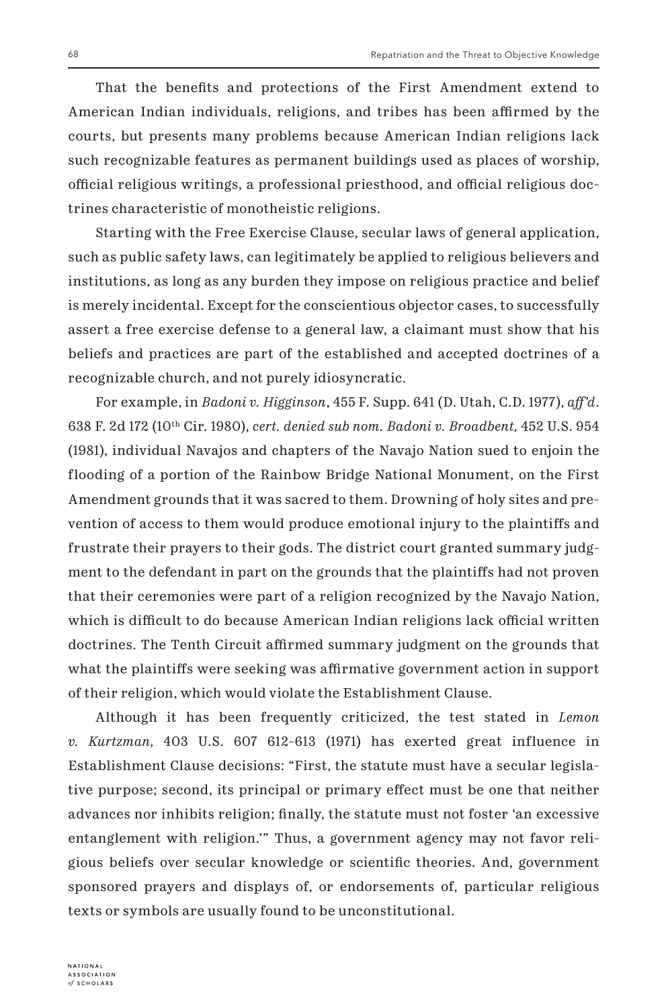That the benefits and protections of the First Amendment extend to American Indian individuals, religions, and tribes has been affirmed by the courts, but presents many problems because American Indian religions lack such recognizable features as permanent buildings used as places of worship, official religious writings, a professional priesthood, and official religious doctrines characteristic of monotheistic religions.

Starting with the Free Exercise Clause, secular laws of general application, such as public safety laws, can legitimately be applied to religious believers and institutions, as long as any burden they impose on religious practice and belief is merely incidental. Except for the conscientious objector cases, to successfully assert a free exercise defense to a general law, a claimant must show that his beliefs and practices are part of the established and accepted doctrines of a recognizable church, and not purely idiosyncratic.

For example, in *Badoni v. Higginson*, 455 F. Supp. 641 (D. Utah, C.D. 1977), *aff'd*. 638 F. 2d 172 (10th Cir. 1980), *cert. denied sub nom. Badoni v. Broadbent,* 452 U.S. 954 (1981), individual Navajos and chapters of the Navajo Nation sued to enjoin the flooding of a portion of the Rainbow Bridge National Monument, on the First Amendment grounds that it was sacred to them. Drowning of holy sites and prevention of access to them would produce emotional injury to the plaintiffs and frustrate their prayers to their gods. The district court granted summary judgment to the defendant in part on the grounds that the plaintiffs had not proven that their ceremonies were part of a religion recognized by the Navajo Nation, which is difficult to do because American Indian religions lack official written doctrines. The Tenth Circuit affirmed summary judgment on the grounds that what the plaintiffs were seeking was affirmative government action in support of their religion, which would violate the Establishment Clause.

Although it has been frequently criticized, the test stated in *Lemon v. Kurtzman,* 403 U.S. 607 612-613 (1971) has exerted great influence in Establishment Clause decisions: "First, the statute must have a secular legislative purpose; second, its principal or primary effect must be one that neither advances nor inhibits religion; finally, the statute must not foster 'an excessive entanglement with religion.'" Thus, a government agency may not favor religious beliefs over secular knowledge or scientific theories. And, government sponsored prayers and displays of, or endorsements of, particular religious texts or symbols are usually found to be unconstitutional.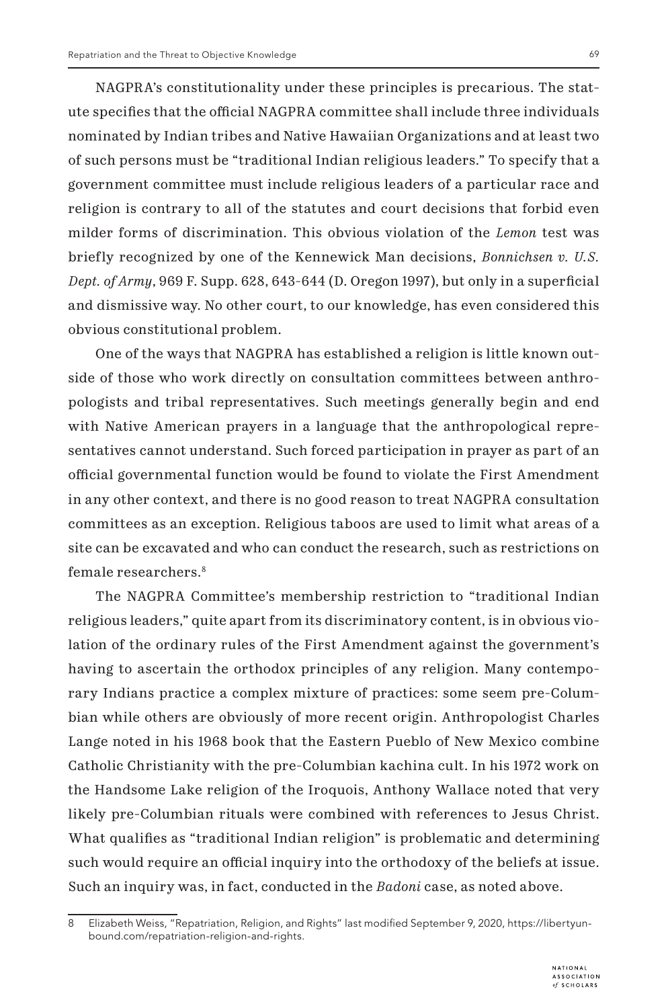NAGPRA's constitutionality under these principles is precarious. The statute specifies that the official NAGPRA committee shall include three individuals nominated by Indian tribes and Native Hawaiian Organizations and at least two of such persons must be "traditional Indian religious leaders." To specify that a government committee must include religious leaders of a particular race and religion is contrary to all of the statutes and court decisions that forbid even milder forms of discrimination. This obvious violation of the *Lemon* test was briefly recognized by one of the Kennewick Man decisions, *Bonnichsen v. U.S. Dept. of Army*, 969 F. Supp. 628, 643-644 (D. Oregon 1997), but only in a superficial and dismissive way. No other court, to our knowledge, has even considered this obvious constitutional problem.

One of the ways that NAGPRA has established a religion is little known outside of those who work directly on consultation committees between anthropologists and tribal representatives. Such meetings generally begin and end with Native American prayers in a language that the anthropological representatives cannot understand. Such forced participation in prayer as part of an official governmental function would be found to violate the First Amendment in any other context, and there is no good reason to treat NAGPRA consultation committees as an exception. Religious taboos are used to limit what areas of a site can be excavated and who can conduct the research, such as restrictions on female researchers.8

The NAGPRA Committee's membership restriction to "traditional Indian religious leaders," quite apart from its discriminatory content, is in obvious violation of the ordinary rules of the First Amendment against the government's having to ascertain the orthodox principles of any religion. Many contemporary Indians practice a complex mixture of practices: some seem pre-Columbian while others are obviously of more recent origin. Anthropologist Charles Lange noted in his 1968 book that the Eastern Pueblo of New Mexico combine Catholic Christianity with the pre-Columbian kachina cult. In his 1972 work on the Handsome Lake religion of the Iroquois, Anthony Wallace noted that very likely pre-Columbian rituals were combined with references to Jesus Christ. What qualifies as "traditional Indian religion" is problematic and determining such would require an official inquiry into the orthodoxy of the beliefs at issue. Such an inquiry was, in fact, conducted in the *Badoni* case, as noted above.

<sup>8</sup> Elizabeth Weiss, "Repatriation, Religion, and Rights" last modified September 9, 2020, https://libertyunbound.com/repatriation-religion-and-rights.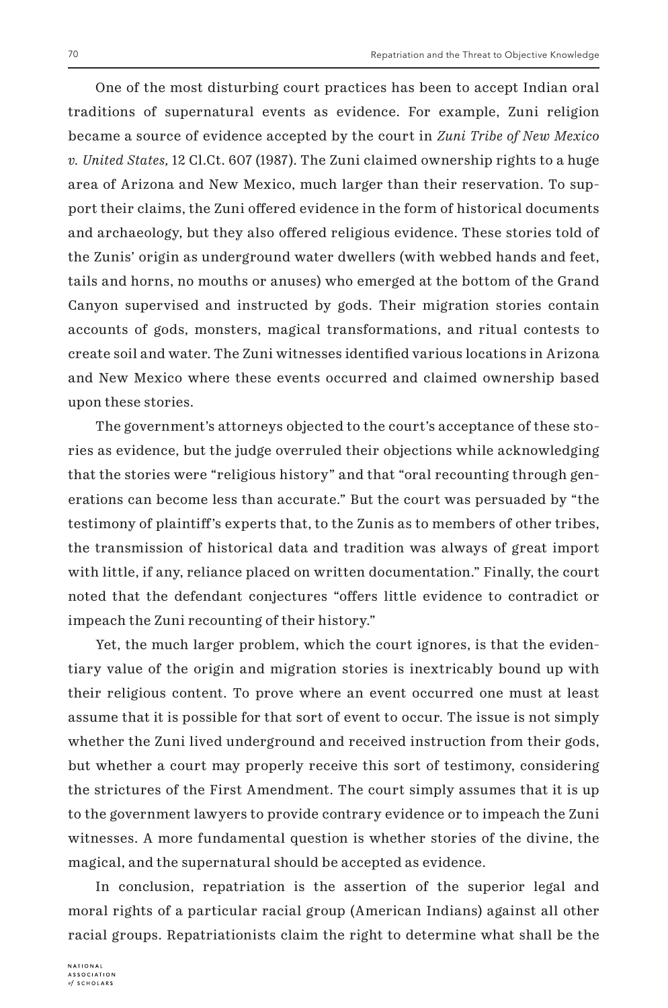One of the most disturbing court practices has been to accept Indian oral traditions of supernatural events as evidence. For example, Zuni religion became a source of evidence accepted by the court in *Zuni Tribe of New Mexico v. United States,* 12 Cl.Ct. 607 (1987). The Zuni claimed ownership rights to a huge area of Arizona and New Mexico, much larger than their reservation. To support their claims, the Zuni offered evidence in the form of historical documents and archaeology, but they also offered religious evidence. These stories told of the Zunis' origin as underground water dwellers (with webbed hands and feet, tails and horns, no mouths or anuses) who emerged at the bottom of the Grand Canyon supervised and instructed by gods. Their migration stories contain accounts of gods, monsters, magical transformations, and ritual contests to create soil and water. The Zuni witnesses identified various locations in Arizona and New Mexico where these events occurred and claimed ownership based upon these stories.

The government's attorneys objected to the court's acceptance of these stories as evidence, but the judge overruled their objections while acknowledging that the stories were "religious history" and that "oral recounting through generations can become less than accurate." But the court was persuaded by "the testimony of plaintiff's experts that, to the Zunis as to members of other tribes, the transmission of historical data and tradition was always of great import with little, if any, reliance placed on written documentation." Finally, the court noted that the defendant conjectures "offers little evidence to contradict or impeach the Zuni recounting of their history."

Yet, the much larger problem, which the court ignores, is that the evidentiary value of the origin and migration stories is inextricably bound up with their religious content. To prove where an event occurred one must at least assume that it is possible for that sort of event to occur. The issue is not simply whether the Zuni lived underground and received instruction from their gods, but whether a court may properly receive this sort of testimony, considering the strictures of the First Amendment. The court simply assumes that it is up to the government lawyers to provide contrary evidence or to impeach the Zuni witnesses. A more fundamental question is whether stories of the divine, the magical, and the supernatural should be accepted as evidence.

In conclusion, repatriation is the assertion of the superior legal and moral rights of a particular racial group (American Indians) against all other racial groups. Repatriationists claim the right to determine what shall be the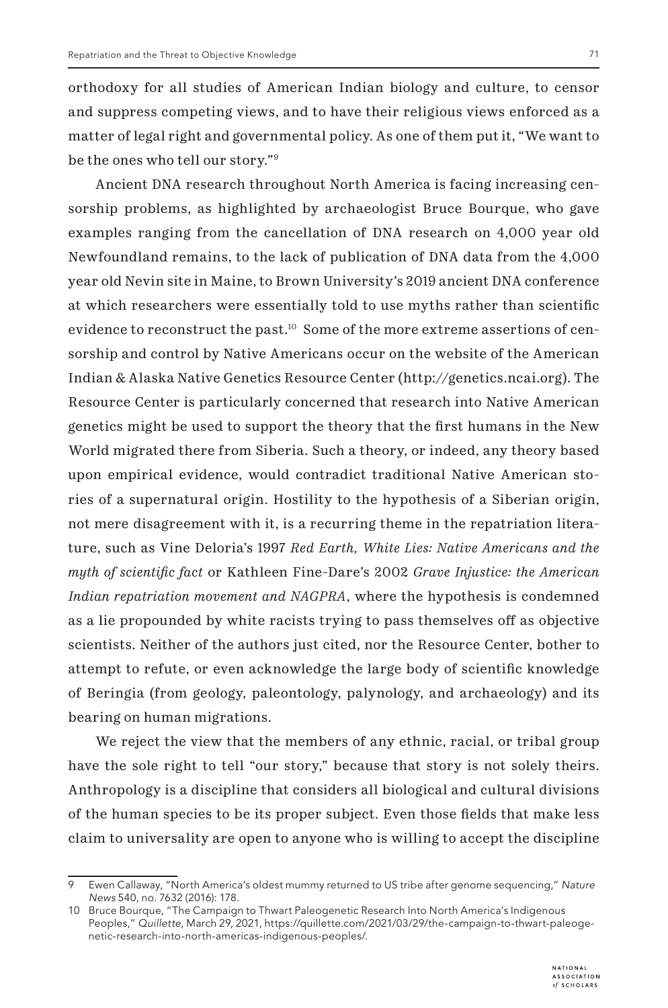orthodoxy for all studies of American Indian biology and culture, to censor and suppress competing views, and to have their religious views enforced as a matter of legal right and governmental policy. As one of them put it, "We want to be the ones who tell our story."9

Ancient DNA research throughout North America is facing increasing censorship problems, as highlighted by archaeologist Bruce Bourque, who gave examples ranging from the cancellation of DNA research on 4,000 year old Newfoundland remains, to the lack of publication of DNA data from the 4,000 year old Nevin site in Maine, to Brown University's 2019 ancient DNA conference at which researchers were essentially told to use myths rather than scientific evidence to reconstruct the past.<sup>10</sup> Some of the more extreme assertions of censorship and control by Native Americans occur on the website of the American Indian & Alaska Native Genetics Resource Center (http://genetics.ncai.org). The Resource Center is particularly concerned that research into Native American genetics might be used to support the theory that the first humans in the New World migrated there from Siberia. Such a theory, or indeed, any theory based upon empirical evidence, would contradict traditional Native American stories of a supernatural origin. Hostility to the hypothesis of a Siberian origin, not mere disagreement with it, is a recurring theme in the repatriation literature, such as Vine Deloria's 1997 *Red Earth, White Lies: Native Americans and the myth of scientific fact* or Kathleen Fine-Dare's 2002 *Grave Injustice: the American Indian repatriation movement and NAGPRA*, where the hypothesis is condemned as a lie propounded by white racists trying to pass themselves off as objective scientists. Neither of the authors just cited, nor the Resource Center, bother to attempt to refute, or even acknowledge the large body of scientific knowledge of Beringia (from geology, paleontology, palynology, and archaeology) and its bearing on human migrations.

We reject the view that the members of any ethnic, racial, or tribal group have the sole right to tell "our story," because that story is not solely theirs. Anthropology is a discipline that considers all biological and cultural divisions of the human species to be its proper subject. Even those fields that make less claim to universality are open to anyone who is willing to accept the discipline

Ewen Callaway, "North America's oldest mummy returned to US tribe after genome sequencing," Nature *News* 540, no. 7632 (2016): 178.

<sup>10</sup> Bruce Bourque, "The Campaign to Thwart Paleogenetic Research Into North America's Indigenous Peoples," Quillette, March 29, 2021, https://quillette.com/2021/03/29/the-campaign-to-thwart-paleogenetic-research-into-north-americas-indigenous-peoples/.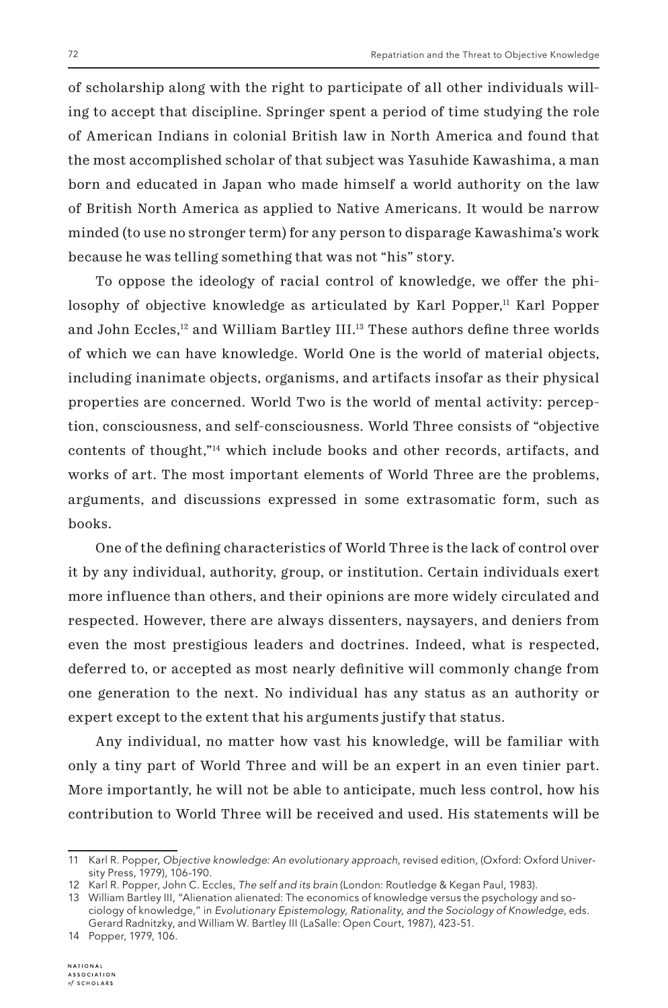of scholarship along with the right to participate of all other individuals willing to accept that discipline. Springer spent a period of time studying the role of American Indians in colonial British law in North America and found that the most accomplished scholar of that subject was Yasuhide Kawashima, a man born and educated in Japan who made himself a world authority on the law of British North America as applied to Native Americans. It would be narrow minded (to use no stronger term) for any person to disparage Kawashima's work because he was telling something that was not "his" story.

To oppose the ideology of racial control of knowledge, we offer the philosophy of objective knowledge as articulated by Karl Popper, $<sup>11</sup>$  Karl Popper</sup> and John Eccles,<sup>12</sup> and William Bartley III.<sup>13</sup> These authors define three worlds of which we can have knowledge. World One is the world of material objects, including inanimate objects, organisms, and artifacts insofar as their physical properties are concerned. World Two is the world of mental activity: perception, consciousness, and self-consciousness. World Three consists of "objective contents of thought,"14 which include books and other records, artifacts, and works of art. The most important elements of World Three are the problems, arguments, and discussions expressed in some extrasomatic form, such as books.

One of the defining characteristics of World Three is the lack of control over it by any individual, authority, group, or institution. Certain individuals exert more influence than others, and their opinions are more widely circulated and respected. However, there are always dissenters, naysayers, and deniers from even the most prestigious leaders and doctrines. Indeed, what is respected, deferred to, or accepted as most nearly definitive will commonly change from one generation to the next. No individual has any status as an authority or expert except to the extent that his arguments justify that status.

Any individual, no matter how vast his knowledge, will be familiar with only a tiny part of World Three and will be an expert in an even tinier part. More importantly, he will not be able to anticipate, much less control, how his contribution to World Three will be received and used. His statements will be

<sup>11</sup> Karl R. Popper, Objective knowledge: An evolutionary approach, revised edition, (Oxford: Oxford University Press, 1979), 106-190.

<sup>12</sup> Karl R. Popper, John C. Eccles, The self and its brain (London: Routledge & Kegan Paul, 1983).

<sup>13</sup> William Bartley III, "Alienation alienated: The economics of knowledge versus the psychology and sociology of knowledge," in Evolutionary Epistemology, Rationality, and the Sociology of Knowledge, eds. Gerard Radnitzky, and William W. Bartley III (LaSalle: Open Court, 1987), 423-51.

<sup>14</sup> Popper, 1979, 106.